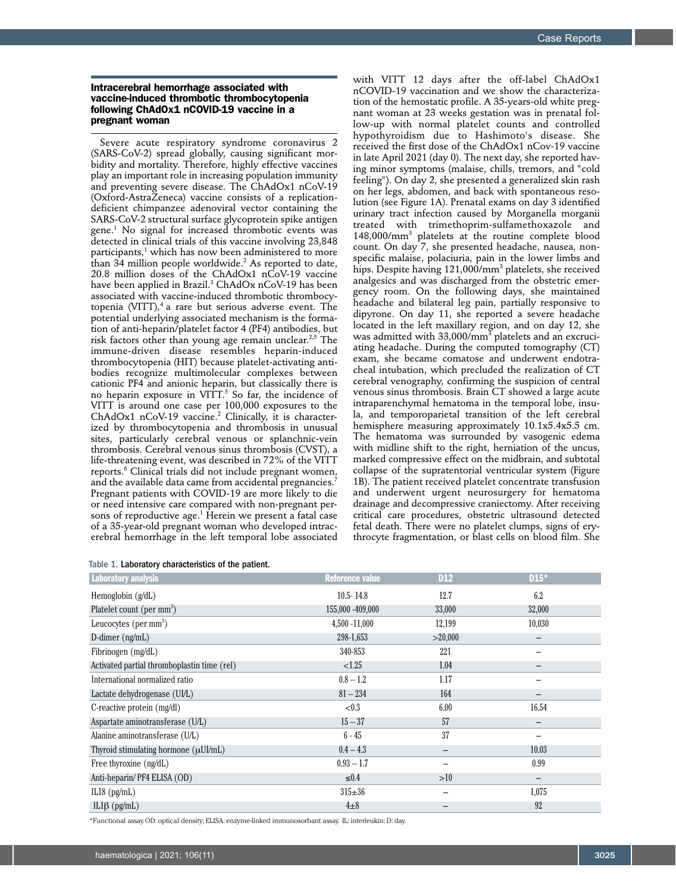## Intracerebral hemorrhage associated with vaccine-induced thrombotic thrombocytopenia following ChAdOx1 nCOVID-19 vaccine in a pregnant woman

Severe acute respiratory syndrome coronavirus 2 (SARS-CoV-2) spread globally, causing significant morbidity and mortality. Therefore, highly effective vaccines play an important role in increasing population immunity and preventing severe disease. The ChAdOx1 nCoV-19 (Oxford-AstraZeneca) vaccine consists of a replicationdeficient chimpanzee adenoviral vector containing the SARS-CoV-2 structural surface glycoprotein spike antigen gene.1 No signal for increased thrombotic events was detected in clinical trials of this vaccine involving 23,848 participants, $^1$  which has now been administered to more than 34 million people worldwide. $^2$  As reported to date, 20.8 million doses of the ChAdOx1 nCoV-19 vaccine have been applied in Brazil.<sup>3</sup> ChAdOx nCoV-19 has been associated with vaccine-induced thrombotic thrombocytopenia (VITT), $4$  a rare but serious adverse event. The potential underlying associated mechanism is the formation of anti-heparin/platelet factor 4 (PF4) antibodies, but risk factors other than young age remain unclear.<sup>2,5</sup> The immune-driven disease resembles heparin-induced thrombocytopenia (HIT) because platelet-activating antibodies recognize multimolecular complexes between cationic PF4 and anionic heparin, but classically there is no heparin exposure in VITT. $^5$  So far, the incidence of VITT is around one case per 100,000 exposures to the  $ChAdOx1$  nCoV-19 vaccine.<sup>2</sup> Clinically, it is characterized by thrombocytopenia and thrombosis in unusual sites, particularly cerebral venous or splanchnic-vein thrombosis. Cerebral venous sinus thrombosis (CVST), a life-threatening event, was described in 72% of the VITT reports.6 Clinical trials did not include pregnant women, and the available data came from accidental pregnancies.<sup>7</sup> Pregnant patients with COVID-19 are more likely to die or need intensive care compared with non-pregnant persons of reproductive age.1 Herein we present a fatal case of a 35-year-old pregnant woman who developed intracerebral hemorrhage in the left temporal lobe associated

|  |  |  | Table 1. Laboratory characteristics of the patient. |  |  |
|--|--|--|-----------------------------------------------------|--|--|
|--|--|--|-----------------------------------------------------|--|--|

with VITT 12 days after the off-label ChAdOx1 nCOVID-19 vaccination and we show the characterization of the hemostatic profile. A 35-years-old white pregnant woman at 23 weeks gestation was in prenatal follow-up with normal platelet counts and controlled hypothyroidism due to Hashimoto's disease. She received the first dose of the ChAdOx1 nCov-19 vaccine in late April 2021 (day 0). The next day, she reported having minor symptoms (malaise, chills, tremors, and "cold feeling"). On day 2, she presented a generalized skin rash on her legs, abdomen, and back with spontaneous resolution (see Figure 1A). Prenatal exams on day 3 identified urinary tract infection caused by Morganella morganii treated with trimethoprim-sulfamethoxazole and 148,000/mm3 platelets at the routine complete blood count. On day 7, she presented headache, nausea, nonspecific malaise, polaciuria, pain in the lower limbs and hips. Despite having 121,000/mm<sup>3</sup> platelets, she received analgesics and was discharged from the obstetric emergency room. On the following days, she maintained headache and bilateral leg pain, partially responsive to dipyrone. On day 11, she reported a severe headache located in the left maxillary region, and on day 12, she was admitted with 33,000/ $\rm mm^3$  platelets and an excruciating headache. During the computed tomography (CT) exam, she became comatose and underwent endotracheal intubation, which precluded the realization of CT cerebral venography, confirming the suspicion of central venous sinus thrombosis. Brain CT showed a large acute intraparenchymal hematoma in the temporal lobe, insula, and temporoparietal transition of the left cerebral hemisphere measuring approximately 10.1x5.4x5.5 cm. The hematoma was surrounded by vasogenic edema with midline shift to the right, herniation of the uncus, marked compressive effect on the midbrain, and subtotal collapse of the supratentorial ventricular system (Figure 1B). The patient received platelet concentrate transfusion and underwent urgent neurosurgery for hematoma drainage and decompressive craniectomy. After receiving critical care procedures, obstetric ultrasound detected fetal death. There were no platelet clumps, signs of erythrocyte fragmentation, or blast cells on blood film. She

| <b>Laboratory analysis</b>                  | <b>Reference value</b> | <b>D12</b> | $D15*$                   |
|---------------------------------------------|------------------------|------------|--------------------------|
| Hemoglobin $(g/dL)$                         | $10.5 - 14.8$          | 12.7       | 6.2                      |
| Platelet count (per mm <sup>3</sup> )       | 155,000 -409,000       | 33,000     | 32,000                   |
| Leucocytes (per $mm3$ )                     | $4,500 - 11,000$       | 12,199     | 10,030                   |
| D-dimer $(ng/mL)$                           | 298-1,653              | >20,000    |                          |
| Fibrinogen (mg/dL)                          | 340-853                | 221        |                          |
| Activated partial thromboplastin time (rel) | < 1.25                 | 1.04       | $\overline{\phantom{0}}$ |
| International normalized ratio              | $0.8 - 1.2$            | 1.17       |                          |
| Lactate dehydrogenase (UI/L)                | $81 - 234$             | 164        | —                        |
| C-reactive protein (mg/dl)                  | < 0.3                  | 6.00       | 16.54                    |
| Aspartate aminotransferase (U/L)            | $15 - 37$              | 57         |                          |
| Alanine aminotransferase (U/L)              | $6 - 45$               | 37         |                          |
| Thyroid stimulating hormone $(\mu U l/mL)$  | $0.4 - 4.3$            | -          | 10.03                    |
| Free thyroxine (ng/dL)                      | $0.93 - 1.7$           |            | 0.99                     |
| Anti-heparin/PF4 ELISA (OD)                 | $\leq 0.4$             | >10        | $\qquad \qquad -$        |
| IL18 $(pg/mL)$                              | $315 \pm 36$           |            | 1,075                    |
| $IL1\beta$ (pg/mL)                          | $4\pm8$                |            | 92                       |

\*Functional assay. OD: optical density; ELISA: enzyme-linked immunosorbant assay. IL: interleukin: D: day.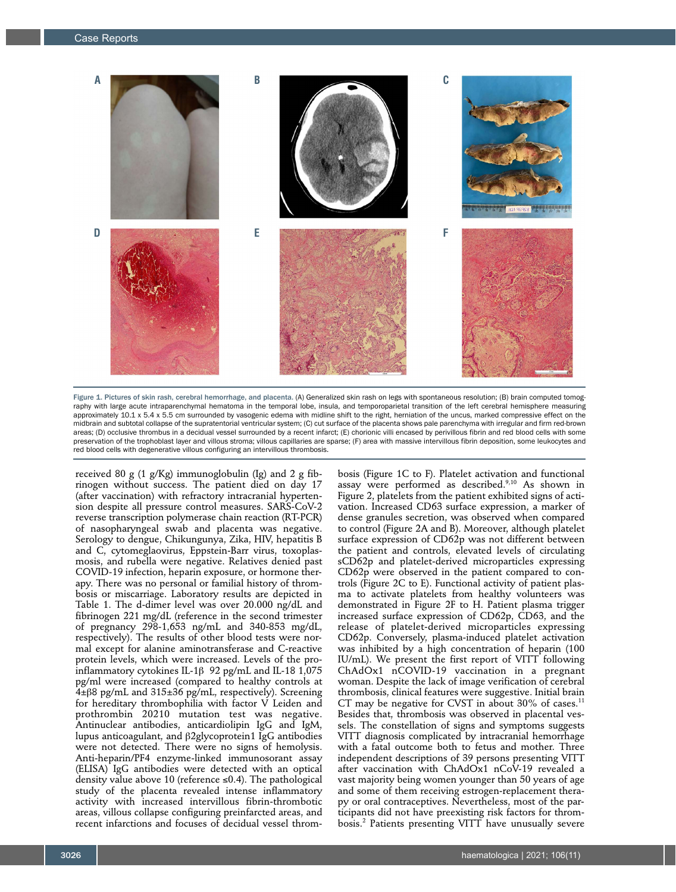

Figure 1. Pictures of skin rash, cerebral hemorrhage, and placenta. (A) Generalized skin rash on legs with spontaneous resolution; (B) brain computed tomography with large acute intraparenchymal hematoma in the temporal lobe, insula, and temporoparietal transition of the left cerebral hemisphere measuring approximately 10.1 x 5.4 x 5.5 cm surrounded by vasogenic edema with midline shift to the right, herniation of the uncus, marked compressive effect on the midbrain and subtotal collapse of the supratentorial ventricular system; (C) cut surface of the placenta shows pale parenchyma with irregular and firm red-brown areas; (D) occlusive thrombus in a decidual vessel surrounded by a recent infarct; (E) chorionic villi encased by perivillous fibrin and red blood cells with some preservation of the trophoblast layer and villous stroma; villous capillaries are sparse; (F) area with massive intervillous fibrin deposition, some leukocytes and red blood cells with degenerative villous configuring an intervillous thrombosis.

received 80 g (1 g/Kg) immunoglobulin (Ig) and 2 g fibrinogen without success. The patient died on day 17 (after vaccination) with refractory intracranial hypertension despite all pressure control measures. SARS-CoV-2 reverse transcription polymerase chain reaction (RT-PCR) of nasopharyngeal swab and placenta was negative. Serology to dengue, Chikungunya, Zika, HIV, hepatitis B and C, cytomeglaovirus, Eppstein-Barr virus, toxoplasmosis, and rubella were negative. Relatives denied past COVID-19 infection, heparin exposure, or hormone therapy. There was no personal or familial history of thrombosis or miscarriage. Laboratory results are depicted in Table 1. The d-dimer level was over 20.000 ng/dL and fibrinogen 221 mg/dL (reference in the second trimester of pregnancy 298-1,653 ng/mL and 340-853 mg/dL, respectively). The results of other blood tests were normal except for alanine aminotransferase and C-reactive protein levels, which were increased. Levels of the proinflammatory cytokines IL-1 $\beta$  92 pg/mL and IL-18 1,075 pg/ml were increased (compared to healthy controls at  $4\pm\beta$ 8 pg/mL and 315 $\pm$ 36 pg/mL, respectively). Screening for hereditary thrombophilia with factor V Leiden and prothrombin 20210 mutation test was negative. Antinuclear antibodies, anticardiolipin IgG and IgM, lupus anticoagulant, and  $\beta$ 2glycoprotein1 IgG antibodies were not detected. There were no signs of hemolysis. Anti-heparin/PF4 enzyme-linked immunosorant assay (ELISA) IgG antibodies were detected with an optical density value above 10 (reference ≤0.4). The pathological study of the placenta revealed intense inflammatory activity with increased intervillous fibrin-thrombotic areas, villous collapse configuring preinfarcted areas, and recent infarctions and focuses of decidual vessel throm-

bosis (Figure 1C to F). Platelet activation and functional assay were performed as described.<sup>9,10</sup> As shown in Figure 2, platelets from the patient exhibited signs of activation. Increased CD63 surface expression, a marker of dense granules secretion, was observed when compared to control (Figure 2A and B). Moreover, although platelet surface expression of CD62p was not different between the patient and controls, elevated levels of circulating sCD62p and platelet-derived microparticles expressing CD62p were observed in the patient compared to controls (Figure 2C to E). Functional activity of patient plasma to activate platelets from healthy volunteers was demonstrated in Figure 2F to H. Patient plasma trigger increased surface expression of CD62p, CD63, and the release of platelet-derived microparticles expressing CD62p. Conversely, plasma-induced platelet activation was inhibited by a high concentration of heparin (100 IU/mL). We present the first report of VITT following ChAdOx1 nCOVID-19 vaccination in a pregnant woman. Despite the lack of image verification of cerebral thrombosis, clinical features were suggestive. Initial brain CT may be negative for CVST in about  $30\%$  of cases.<sup>11</sup> Besides that, thrombosis was observed in placental vessels. The constellation of signs and symptoms suggests VITT diagnosis complicated by intracranial hemorrhage with a fatal outcome both to fetus and mother. Three independent descriptions of 39 persons presenting VITT after vaccination with ChAdOx1 nCoV-19 revealed a vast majority being women younger than 50 years of age and some of them receiving estrogen-replacement therapy or oral contraceptives. Nevertheless, most of the participants did not have preexisting risk factors for thrombosis.2 Patients presenting VITT have unusually severe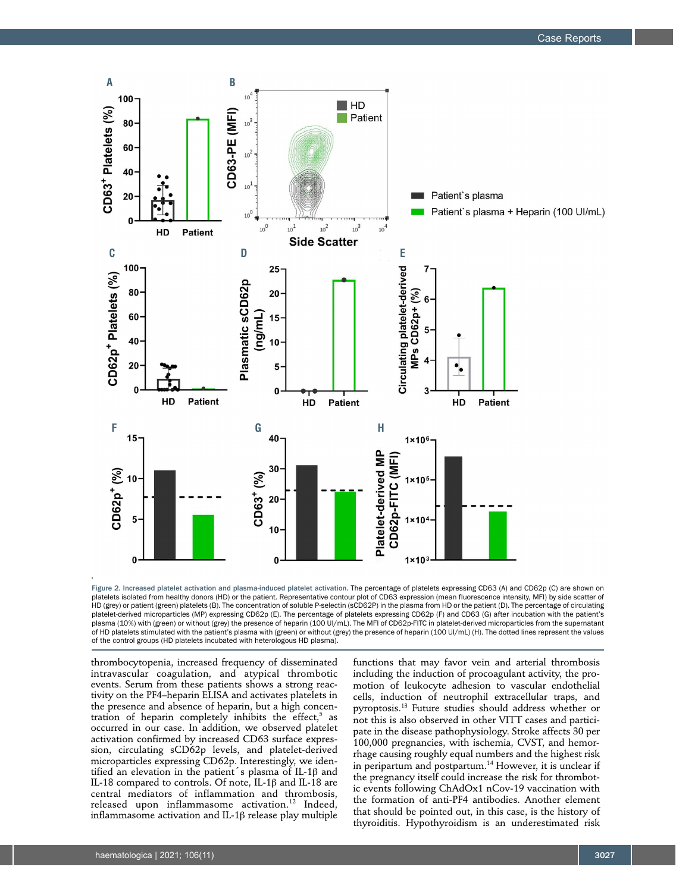

Figure 2. Increased platelet activation and plasma-induced platelet activation. The percentage of platelets expressing CD63 (A) and CD62p (C) are shown on platelets isolated from healthy donors (HD) or the patient. Representative contour plot of CD63 expression (mean fluorescence intensity, MFI) by side scatter of HD (grey) or patient (green) platelets (B). The concentration of soluble P-selectin (sCD62P) in the plasma from HD or the patient (D). The percentage of circulating platelet-derived microparticles (MP) expressing CD62p (E). The percentage of platelets expressing CD62p (F) and CD63 (G) after incubation with the patient's plasma (10%) with (green) or without (grey) the presence of heparin (100 UI/mL). The MFI of CD62p-FITC in platelet-derived microparticles from the supernatant of HD platelets stimulated with the patient's plasma with (green) or without (grey) the presence of heparin (100 UI/mL) (H). The dotted lines represent the values of the control groups (HD platelets incubated with heterologous HD plasma).

thrombocytopenia, increased frequency of disseminated intravascular coagulation, and atypical thrombotic events. Serum from these patients shows a strong reactivity on the PF4–heparin ELISA and activates platelets in the presence and absence of heparin, but a high concentration of heparin completely inhibits the effect, $5$  as occurred in our case. In addition, we observed platelet activation confirmed by increased CD63 surface expression, circulating sCD62p levels, and platelet-derived microparticles expressing CD62p. Interestingly, we identified an elevation in the patient's plasma of IL-1 $\beta$  and IL-18 compared to controls. Of note, IL-1b and IL-18 are central mediators of inflammation and thrombosis, released upon inflammasome activation.<sup>12</sup> Indeed, inflammasome activation and IL-1 $\beta$  release play multiple

functions that may favor vein and arterial thrombosis including the induction of procoagulant activity, the promotion of leukocyte adhesion to vascular endothelial cells, induction of neutrophil extracellular traps, and pyroptosis.13 Future studies should address whether or not this is also observed in other VITT cases and participate in the disease pathophysiology. Stroke affects 30 per 100,000 pregnancies, with ischemia, CVST, and hemorrhage causing roughly equal numbers and the highest risk in peripartum and postpartum.14 However, it is unclear if the pregnancy itself could increase the risk for thrombotic events following ChAdOx1 nCov-19 vaccination with the formation of anti-PF4 antibodies. Another element that should be pointed out, in this case, is the history of thyroiditis. Hypothyroidism is an underestimated risk